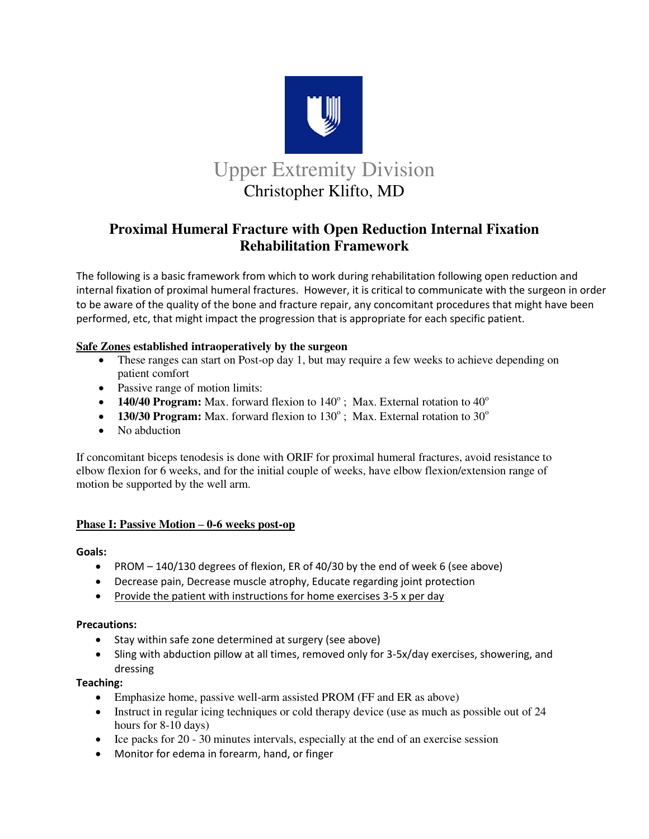

# **Proximal Humeral Fracture with Open Reduction Internal Fixation Rehabilitation Framework**

The following is a basic framework from which to work during rehabilitation following open reduction and internal fixation of proximal humeral fractures. However, it is critical to communicate with the surgeon in order to be aware of the quality of the bone and fracture repair, any concomitant procedures that might have been performed, etc, that might impact the progression that is appropriate for each specific patient.

## **Safe Zones established intraoperatively by the surgeon**

- These ranges can start on Post-op day 1, but may require a few weeks to achieve depending on patient comfort
- Passive range of motion limits:
- **140/40 Program:** Max. forward flexion to  $140^\circ$ ; Max. External rotation to  $40^\circ$
- $\bullet$  **130/30 Program:** Max. forward flexion to 130°; Max. External rotation to 30°
- No abduction

If concomitant biceps tenodesis is done with ORIF for proximal humeral fractures, avoid resistance to elbow flexion for 6 weeks, and for the initial couple of weeks, have elbow flexion/extension range of motion be supported by the well arm.

# **Phase I: Passive Motion – 0-6 weeks post-op**

#### **Goals:**

- PROM 140/130 degrees of flexion, ER of 40/30 by the end of week 6 (see above)
- Decrease pain, Decrease muscle atrophy, Educate regarding joint protection
- Provide the patient with instructions for home exercises  $3-5x$  per day

#### **Precautions:**

- Stay within safe zone determined at surgery (see above)
- Sling with abduction pillow at all times, removed only for 3-5x/day exercises, showering, and dressing

#### **Teaching:**

- Emphasize home, passive well-arm assisted PROM (FF and ER as above)
- Instruct in regular icing techniques or cold therapy device (use as much as possible out of 24 hours for 8-10 days)
- $\bullet$  Ice packs for 20 30 minutes intervals, especially at the end of an exercise session
- Monitor for edema in forearm, hand, or finger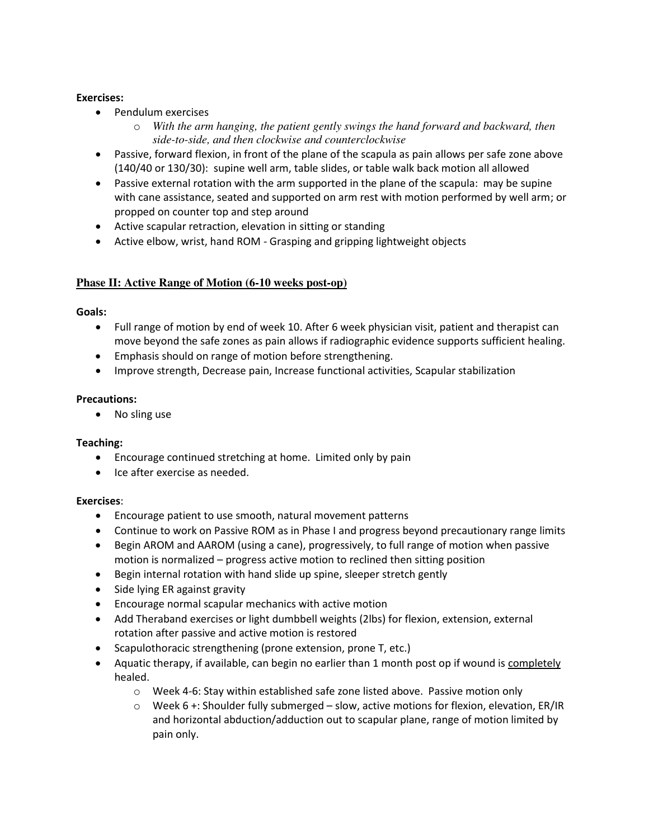## **Exercises:**

- Pendulum exercises
	- o *With the arm hanging, the patient gently swings the hand forward and backward, then side-to-side, and then clockwise and counterclockwise*
- Passive, forward flexion, in front of the plane of the scapula as pain allows per safe zone above (140/40 or 130/30): supine well arm, table slides, or table walk back motion all allowed
- Passive external rotation with the arm supported in the plane of the scapula: may be supine with cane assistance, seated and supported on arm rest with motion performed by well arm; or propped on counter top and step around
- Active scapular retraction, elevation in sitting or standing
- Active elbow, wrist, hand ROM Grasping and gripping lightweight objects

# **Phase II: Active Range of Motion (6-10 weeks post-op)**

**Goals:** 

- Full range of motion by end of week 10. After 6 week physician visit, patient and therapist can move beyond the safe zones as pain allows if radiographic evidence supports sufficient healing.
- Emphasis should on range of motion before strengthening.
- Improve strength, Decrease pain, Increase functional activities, Scapular stabilization

#### **Precautions:**

• No sling use

#### **Teaching:**

- Encourage continued stretching at home. Limited only by pain
- Ice after exercise as needed.

#### **Exercises**:

- Encourage patient to use smooth, natural movement patterns
- Continue to work on Passive ROM as in Phase I and progress beyond precautionary range limits
- Begin AROM and AAROM (using a cane), progressively, to full range of motion when passive motion is normalized – progress active motion to reclined then sitting position
- Begin internal rotation with hand slide up spine, sleeper stretch gently
- Side lying ER against gravity
- Encourage normal scapular mechanics with active motion
- Add Theraband exercises or light dumbbell weights (2lbs) for flexion, extension, external rotation after passive and active motion is restored
- Scapulothoracic strengthening (prone extension, prone T, etc.)
- Aquatic therapy, if available, can begin no earlier than 1 month post op if wound is completely healed.
	- o Week 4-6: Stay within established safe zone listed above. Passive motion only
	- $\circ$  Week 6 +: Shoulder fully submerged slow, active motions for flexion, elevation, ER/IR and horizontal abduction/adduction out to scapular plane, range of motion limited by pain only.